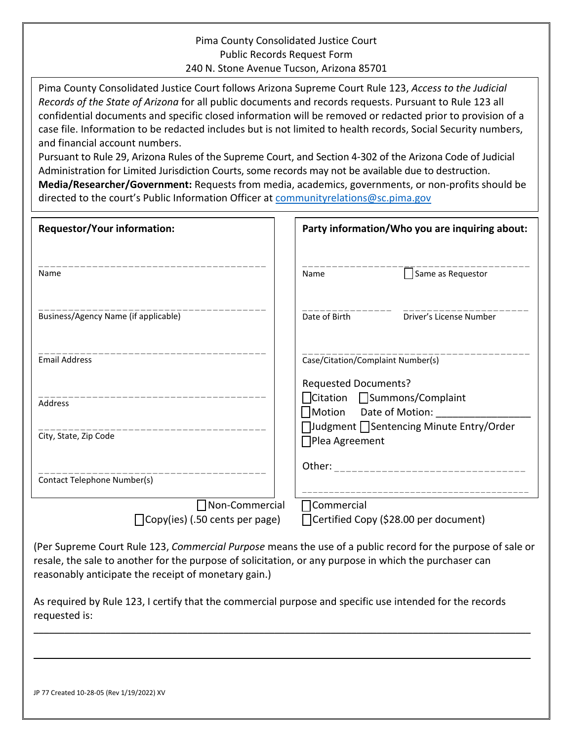## Pima County Consolidated Justice Court Public Records Request Form 240 N. Stone Avenue Tucson, Arizona 85701

Pima County Consolidated Justice Court follows Arizona Supreme Court Rule 123, *Access to the Judicial Records of the State of Arizona* for all public documents and records requests. Pursuant to Rule 123 all confidential documents and specific closed information will be removed or redacted prior to provision of a case file. Information to be redacted includes but is not limited to health records, Social Security numbers, and financial account numbers.

Pursuant to Rule 29, Arizona Rules of the Supreme Court, and Section 4-302 of the Arizona Code of Judicial Administration for Limited Jurisdiction Courts, some records may not be available due to destruction.

**Media/Researcher/Government:** Requests from media, academics, governments, or non-profits should be directed to the court's Public Information Officer at communityrelations@sc.pima.gov

| <b>Requestor/Your information:</b>                | Party information/Who you are inquiring about:                                                                                                                         |
|---------------------------------------------------|------------------------------------------------------------------------------------------------------------------------------------------------------------------------|
| Name                                              | Same as Requestor<br>Name                                                                                                                                              |
| Business/Agency Name (if applicable)              | Date of Birth<br>Driver's License Number                                                                                                                               |
| <b>Email Address</b>                              | Case/Citation/Complaint Number(s)                                                                                                                                      |
| Address<br>City, State, Zip Code                  | <b>Requested Documents?</b><br>□Citation □ Summons/Complaint<br>$\bigcap$ Motion Date of Motion:<br>□Judgment □ Sentencing Minute Entry/Order<br>$\Box$ Plea Agreement |
| Contact Telephone Number(s)                       | Other: ____________                                                                                                                                                    |
| □Non-Commercial<br>Copy(ies) (.50 cents per page) | $\Box$ Commercial<br>□ Certified Copy (\$28.00 per document)                                                                                                           |
|                                                   |                                                                                                                                                                        |

(Per Supreme Court Rule 123, *Commercial Purpose* means the use of a public record for the purpose of sale or resale, the sale to another for the purpose of solicitation, or any purpose in which the purchaser can reasonably anticipate the receipt of monetary gain.)

As required by Rule 123, I certify that the commercial purpose and specific use intended for the records requested is:

 $\_$  , and the set of the set of the set of the set of the set of the set of the set of the set of the set of the set of the set of the set of the set of the set of the set of the set of the set of the set of the set of th

\_\_\_\_\_\_\_\_\_\_\_\_\_\_\_\_\_\_\_\_\_\_\_\_\_\_\_\_\_\_\_\_\_\_\_\_\_\_\_\_\_\_\_\_\_\_\_\_\_\_\_\_\_\_\_\_\_\_\_\_\_\_\_\_\_\_\_\_\_\_\_\_\_\_\_\_\_\_\_\_\_\_\_\_\_\_\_\_\_\_\_\_\_\_\_\_\_